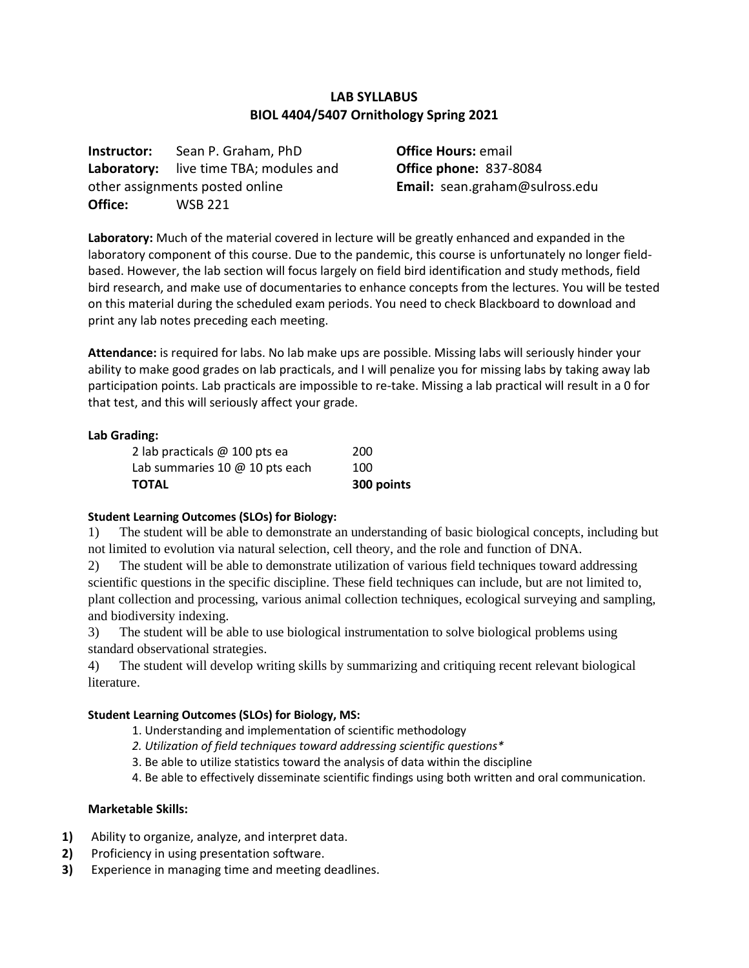## **LAB SYLLABUS BIOL 4404/5407 Ornithology Spring 2021**

**Instructor:** Sean P. Graham, PhD **Laboratory:** live time TBA; modules and other assignments posted online **Office:** WSB 221

**Office Hours:** email **Office phone:** 837-8084 **Email:** sean.graham@sulross.edu

**Laboratory:** Much of the material covered in lecture will be greatly enhanced and expanded in the laboratory component of this course. Due to the pandemic, this course is unfortunately no longer fieldbased. However, the lab section will focus largely on field bird identification and study methods, field bird research, and make use of documentaries to enhance concepts from the lectures. You will be tested on this material during the scheduled exam periods. You need to check Blackboard to download and print any lab notes preceding each meeting.

**Attendance:** is required for labs. No lab make ups are possible. Missing labs will seriously hinder your ability to make good grades on lab practicals, and I will penalize you for missing labs by taking away lab participation points. Lab practicals are impossible to re-take. Missing a lab practical will result in a 0 for that test, and this will seriously affect your grade.

#### **Lab Grading:**

| <b>TOTAL</b>                   | 300 points |
|--------------------------------|------------|
| Lab summaries 10 @ 10 pts each | 100        |
| 2 lab practicals @ 100 pts ea  | 200        |

#### **Student Learning Outcomes (SLOs) for Biology:**

1) The student will be able to demonstrate an understanding of basic biological concepts, including but not limited to evolution via natural selection, cell theory, and the role and function of DNA.

2) The student will be able to demonstrate utilization of various field techniques toward addressing scientific questions in the specific discipline. These field techniques can include, but are not limited to, plant collection and processing, various animal collection techniques, ecological surveying and sampling, and biodiversity indexing.

3) The student will be able to use biological instrumentation to solve biological problems using standard observational strategies.

4) The student will develop writing skills by summarizing and critiquing recent relevant biological literature.

#### **Student Learning Outcomes (SLOs) for Biology, MS:**

- 1. Understanding and implementation of scientific methodology
- *2. Utilization of field techniques toward addressing scientific questions\**
- 3. Be able to utilize statistics toward the analysis of data within the discipline
- 4. Be able to effectively disseminate scientific findings using both written and oral communication.

#### **Marketable Skills:**

- **1)** Ability to organize, analyze, and interpret data.
- **2)** Proficiency in using presentation software.
- **3)** Experience in managing time and meeting deadlines.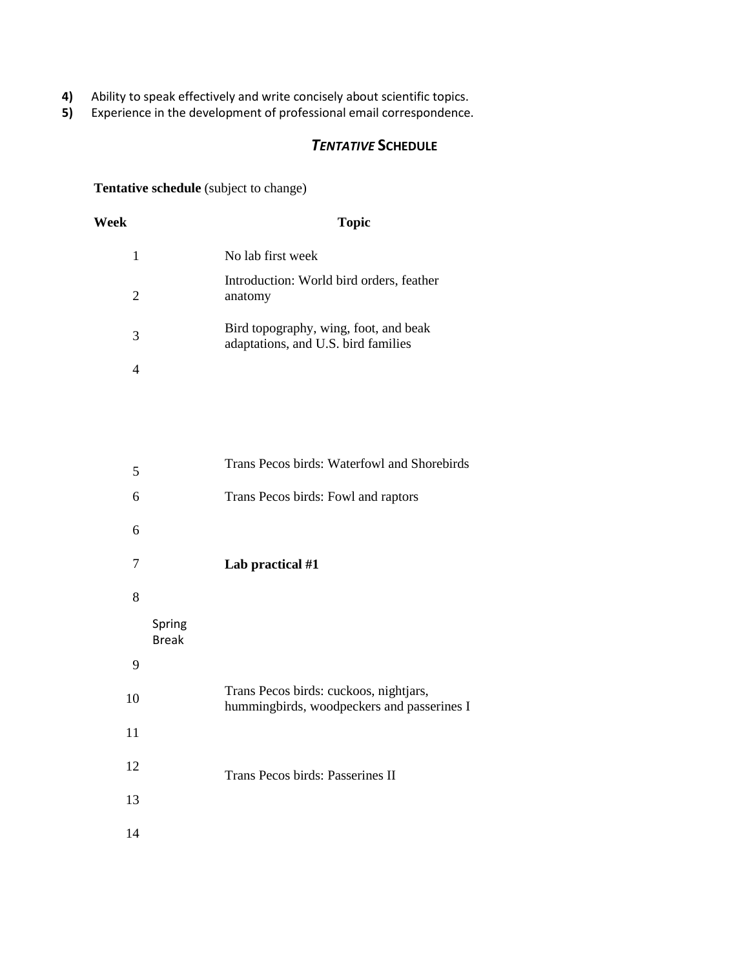- **4)** Ability to speak effectively and write concisely about scientific topics.<br>**5)** Experience in the development of professional email correspondence
- **5)** Experience in the development of professional email correspondence.

# *TENTATIVE* **SCHEDULE**

**Tentative schedule** (subject to change)

| Week | <b>Topic</b>                                                                 |
|------|------------------------------------------------------------------------------|
| 1    | No lab first week                                                            |
| 2    | Introduction: World bird orders, feather<br>anatomy                          |
| 3    | Bird topography, wing, foot, and beak<br>adaptations, and U.S. bird families |
|      |                                                                              |

| 5  |                        | Trans Pecos birds: Waterfowl and Shorebirds                                          |
|----|------------------------|--------------------------------------------------------------------------------------|
| 6  |                        | Trans Pecos birds: Fowl and raptors                                                  |
| 6  |                        |                                                                                      |
| 7  |                        | Lab practical #1                                                                     |
| 8  |                        |                                                                                      |
|    | Spring<br><b>Break</b> |                                                                                      |
| 9  |                        |                                                                                      |
| 10 |                        | Trans Pecos birds: cuckoos, nightjars,<br>hummingbirds, woodpeckers and passerines I |
| 11 |                        |                                                                                      |
| 12 |                        | Trans Pecos birds: Passerines II                                                     |
| 13 |                        |                                                                                      |
|    |                        |                                                                                      |